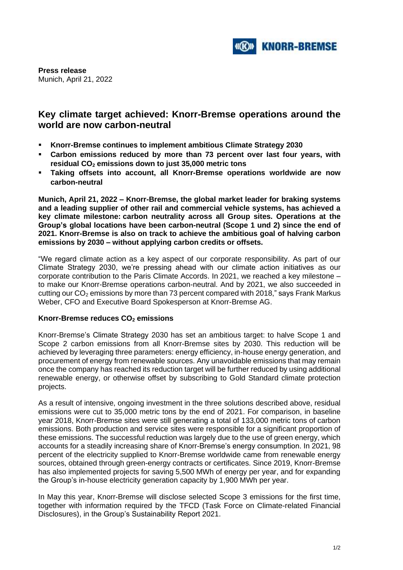

**Press release** Munich, April 21, 2022

## **Key climate target achieved: Knorr-Bremse operations around the world are now carbon-neutral**

- **Knorr-Bremse continues to implement ambitious Climate Strategy 2030**
- **Carbon emissions reduced by more than 73 percent over last four years, with residual CO<sup>2</sup> emissions down to just 35,000 metric tons**
- **Taking offsets into account, all Knorr-Bremse operations worldwide are now carbon-neutral**

**Munich, April 21, 2022 – Knorr-Bremse, the global market leader for braking systems and a leading supplier of other rail and commercial vehicle systems, has achieved a key climate milestone: carbon neutrality across all Group sites. Operations at the Group's global locations have been carbon-neutral (Scope 1 und 2) since the end of 2021. Knorr-Bremse is also on track to achieve the ambitious goal of halving carbon emissions by 2030 – without applying carbon credits or offsets.**

"We regard climate action as a key aspect of our corporate responsibility. As part of our Climate Strategy 2030, we're pressing ahead with our climate action initiatives as our corporate contribution to the Paris Climate Accords. In 2021, we reached a key milestone – to make our Knorr-Bremse operations carbon-neutral. And by 2021, we also succeeded in cutting our  $CO<sub>2</sub>$  emissions by more than 73 percent compared with 2018," says Frank Markus Weber, CFO and Executive Board Spokesperson at Knorr-Bremse AG.

## **Knorr-Bremse reduces CO<sup>2</sup> emissions**

Knorr-Bremse's Climate Strategy 2030 has set an ambitious target: to halve Scope 1 and Scope 2 carbon emissions from all Knorr-Bremse sites by 2030. This reduction will be achieved by leveraging three parameters: energy efficiency, in-house energy generation, and procurement of energy from renewable sources. Any unavoidable emissions that may remain once the company has reached its reduction target will be further reduced by using additional renewable energy, or otherwise offset by subscribing to Gold Standard climate protection projects.

As a result of intensive, ongoing investment in the three solutions described above, residual emissions were cut to 35,000 metric tons by the end of 2021. For comparison, in baseline year 2018, Knorr-Bremse sites were still generating a total of 133,000 metric tons of carbon emissions. Both production and service sites were responsible for a significant proportion of these emissions. The successful reduction was largely due to the use of green energy, which accounts for a steadily increasing share of Knorr-Bremse's energy consumption. In 2021, 98 percent of the electricity supplied to Knorr-Bremse worldwide came from renewable energy sources, obtained through green-energy contracts or certificates. Since 2019, Knorr-Bremse has also implemented projects for saving 5,500 MWh of energy per year, and for expanding the Group's in-house electricity generation capacity by 1,900 MWh per year.

In May this year, Knorr-Bremse will disclose selected Scope 3 emissions for the first time, together with information required by the TFCD (Task Force on Climate-related Financial Disclosures), in the Group's Sustainability Report 2021.